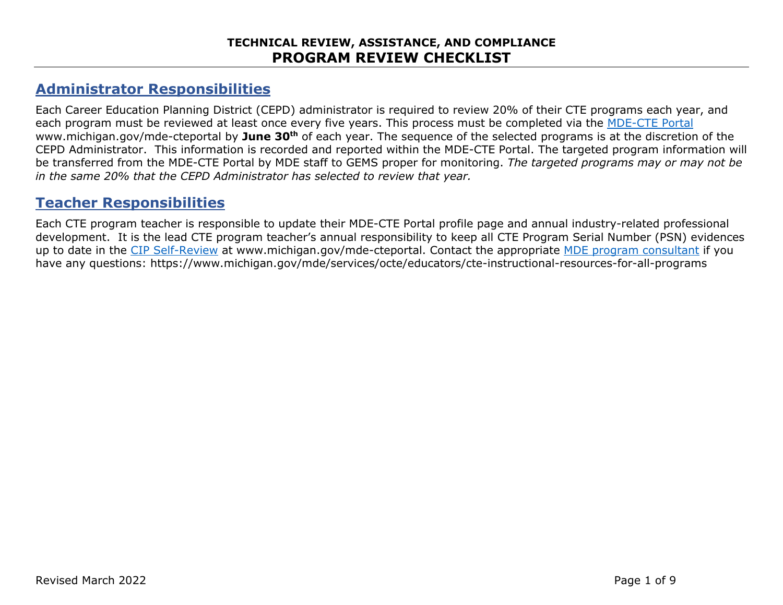# **Administrator Responsibilities**

Each Career Education Planning District (CEPD) administrator is required to review 20% of their CTE programs each year, and each program must be reviewed at least once every five years. This process must be completed via the [MDE-CTE Portal](https://mdoe.state.mi.us/gems/public/QuestionnaireHome.aspx?code=i7c9tdfd) [www.michigan.gov/mde-cteportal](https://urldefense.com/v3/__http:/www.michigan.gov/mde-cteportal__;!!HXCxUKc!lZ1D4tpvSWjMziusUVk8oQKyhBjHG-s3vHu_14vledqyZgFTebw6p7Fa2Q175R4$) by **June 30th** of each year. The sequence of the selected programs is at the discretion of the CEPD Administrator. This information is recorded and reported within the MDE-CTE Portal. The targeted program information will be transferred from the MDE-CTE Portal by MDE staff to GEMS proper for monitoring. *The targeted programs may or may not be in the same 20% that the CEPD Administrator has selected to review that year.*

## **Teacher Responsibilities**

Each CTE program teacher is responsible to update their MDE-CTE Portal profile page and annual industry-related professional development. It is the lead CTE program teacher's annual responsibility to keep all CTE Program Serial Number (PSN) evidences up to date in the [CIP Self-Review](http://www.michigan.gov/mde-cteportal) at [www.michigan.gov/mde-cteportal.](https://urldefense.com/v3/__http:/www.michigan.gov/mde-cteportal__;!!HXCxUKc!lZ1D4tpvSWjMziusUVk8oQKyhBjHG-s3vHu_14vledqyZgFTebw6p7Fa2Q175R4$) Contact the appropriate [MDE program consultant](https://www.michigan.gov/mde/-/media/Project/Websites/mde/CTE/cte_cluster/Career_Cluster_and_CIP_Codes_by_Consultant_699744_7.pdf?rev=28b868a36a99400fa0a0df15526f5c19&hash=10DB449A9430EEFD23649226D73EF7FA) if you have any questions: https://www.michigan.gov/mde/services/octe/educators/cte-instructional-resources-for-all-programs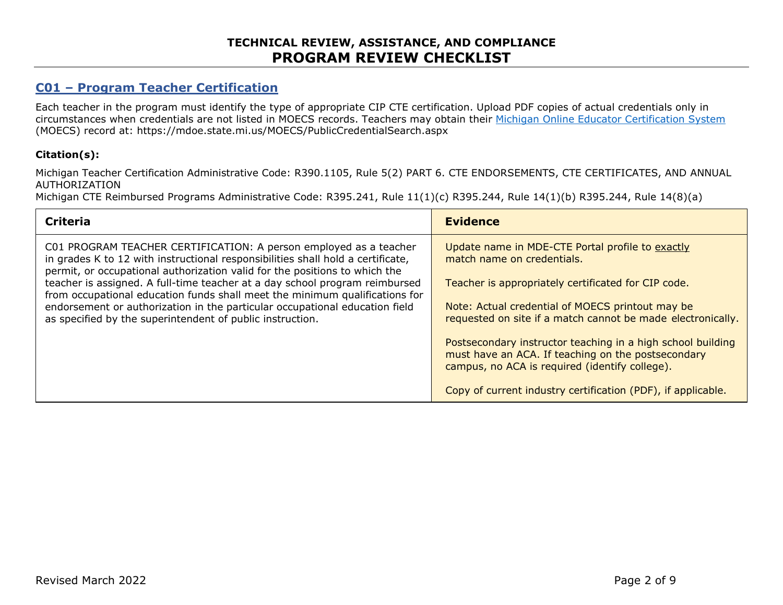### **TECHNICAL REVIEW, ASSISTANCE, AND COMPLIANCE PROGRAM REVIEW CHECKLIST**

### **C01 – Program Teacher Certification**

Each teacher in the program must identify the type of appropriate CIP CTE certification. Upload PDF copies of actual credentials only in circumstances when credentials are not listed in MOECS records. Teachers may obtain their [Michigan Online Educator Certification System](https://mdoe.state.mi.us/MOECS/PublicCredentialSearch.aspx) (MOECS) record at: https://mdoe.state.mi.us/MOECS/PublicCredentialSearch.aspx

#### **Citation(s):**

Michigan Teacher Certification Administrative Code: R390.1105, Rule 5(2) PART 6. CTE ENDORSEMENTS, CTE CERTIFICATES, AND ANNUAL AUTHORIZATION

Michigan CTE Reimbursed Programs Administrative Code: R395.241, Rule 11(1)(c) R395.244, Rule 14(1)(b) R395.244, Rule 14(8)(a)

| <b>Criteria</b>                                                                                                                                                                                                                    | <b>Evidence</b>                                                                                                                                                     |
|------------------------------------------------------------------------------------------------------------------------------------------------------------------------------------------------------------------------------------|---------------------------------------------------------------------------------------------------------------------------------------------------------------------|
| C01 PROGRAM TEACHER CERTIFICATION: A person employed as a teacher<br>in grades K to 12 with instructional responsibilities shall hold a certificate,<br>permit, or occupational authorization valid for the positions to which the | Update name in MDE-CTE Portal profile to exactly<br>match name on credentials.                                                                                      |
| teacher is assigned. A full-time teacher at a day school program reimbursed<br>from occupational education funds shall meet the minimum qualifications for                                                                         | Teacher is appropriately certificated for CIP code.                                                                                                                 |
| endorsement or authorization in the particular occupational education field<br>as specified by the superintendent of public instruction.                                                                                           | Note: Actual credential of MOECS printout may be<br>requested on site if a match cannot be made electronically.                                                     |
|                                                                                                                                                                                                                                    | Postsecondary instructor teaching in a high school building<br>must have an ACA. If teaching on the postsecondary<br>campus, no ACA is required (identify college). |
|                                                                                                                                                                                                                                    | Copy of current industry certification (PDF), if applicable.                                                                                                        |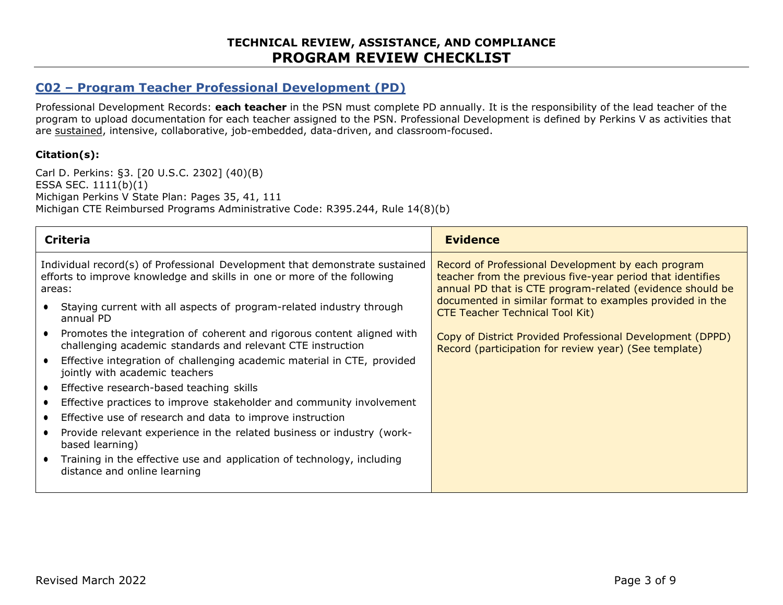### **C02 – Program Teacher Professional Development (PD)**

Professional Development Records: **each teacher** in the PSN must complete PD annually. It is the responsibility of the lead teacher of the program to upload documentation for each teacher assigned to the PSN. Professional Development is defined by Perkins V as activities that are sustained, intensive, collaborative, job-embedded, data-driven, and classroom-focused.

#### **Citation(s):**

Carl D. Perkins: §3. [20 U.S.C. 2302] (40)(B) ESSA SEC. 1111(b)(1) Michigan Perkins V State Plan: Pages 35, 41, 111 Michigan CTE Reimbursed Programs Administrative Code: R395.244, Rule 14(8)(b)

| <b>Criteria</b>                                                                                                                                                  | <b>Evidence</b>                                                                                                                                                               |
|------------------------------------------------------------------------------------------------------------------------------------------------------------------|-------------------------------------------------------------------------------------------------------------------------------------------------------------------------------|
| Individual record(s) of Professional Development that demonstrate sustained<br>efforts to improve knowledge and skills in one or more of the following<br>areas: | Record of Professional Development by each program<br>teacher from the previous five-year period that identifies<br>annual PD that is CTE program-related (evidence should be |
| Staying current with all aspects of program-related industry through<br>annual PD                                                                                | documented in similar format to examples provided in the<br><b>CTE Teacher Technical Tool Kit)</b>                                                                            |
| Promotes the integration of coherent and rigorous content aligned with<br>challenging academic standards and relevant CTE instruction                            | Copy of District Provided Professional Development (DPPD)<br>Record (participation for review year) (See template)                                                            |
| Effective integration of challenging academic material in CTE, provided<br>jointly with academic teachers                                                        |                                                                                                                                                                               |
| Effective research-based teaching skills                                                                                                                         |                                                                                                                                                                               |
| Effective practices to improve stakeholder and community involvement                                                                                             |                                                                                                                                                                               |
| Effective use of research and data to improve instruction                                                                                                        |                                                                                                                                                                               |
| Provide relevant experience in the related business or industry (work-<br>based learning)                                                                        |                                                                                                                                                                               |
| Training in the effective use and application of technology, including<br>distance and online learning                                                           |                                                                                                                                                                               |
|                                                                                                                                                                  |                                                                                                                                                                               |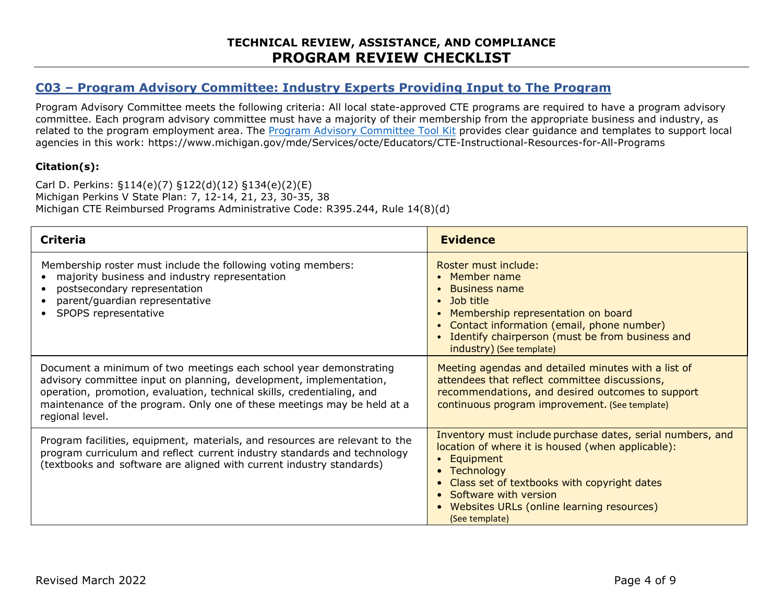### **C03 – Program Advisory Committee: Industry Experts Providing Input to The Program**

Program Advisory Committee meets the following criteria: All local state-approved CTE programs are required to have a program advisory committee. Each program advisory committee must have a majority of their membership from the appropriate business and industry, as related to the program employment area. The [Program Advisory Committee Tool Kit](https://www.michigan.gov/mde/0,4615,7-140-2629_53968---,00.html) provides clear guidance and templates to support local agencies in this work: https://www.michigan.gov/mde/Services/octe/Educators/CTE-Instructional-Resources-for-All-Programs

#### **Citation(s):**

Carl D. Perkins: §114(e)(7) §122(d)(12) §134(e)(2)(E) Michigan Perkins V State Plan: 7, 12-14, 21, 23, 30-35, 38 Michigan CTE Reimbursed Programs Administrative Code: R395.244, Rule 14(8)(d)

| <b>Criteria</b>                                                                                                                                                                                                                                                                                                 | <b>Evidence</b>                                                                                                                                                                                                                                                                                                            |
|-----------------------------------------------------------------------------------------------------------------------------------------------------------------------------------------------------------------------------------------------------------------------------------------------------------------|----------------------------------------------------------------------------------------------------------------------------------------------------------------------------------------------------------------------------------------------------------------------------------------------------------------------------|
| Membership roster must include the following voting members:<br>majority business and industry representation<br>postsecondary representation<br>parent/guardian representative<br>SPOPS representative                                                                                                         | Roster must include:<br>Member name<br><b>Business name</b><br>- Job title<br>$\bullet$<br>Membership representation on board<br>Contact information (email, phone number)<br>Identify chairperson (must be from business and<br>industry) (See template)                                                                  |
| Document a minimum of two meetings each school year demonstrating<br>advisory committee input on planning, development, implementation,<br>operation, promotion, evaluation, technical skills, credentialing, and<br>maintenance of the program. Only one of these meetings may be held at a<br>regional level. | Meeting agendas and detailed minutes with a list of<br>attendees that reflect committee discussions,<br>recommendations, and desired outcomes to support<br>continuous program improvement. (See template)                                                                                                                 |
| Program facilities, equipment, materials, and resources are relevant to the<br>program curriculum and reflect current industry standards and technology<br>(textbooks and software are aligned with current industry standards)                                                                                 | Inventory must include purchase dates, serial numbers, and<br>location of where it is housed (when applicable):<br>Equipment<br>$\bullet$<br>Technology<br>$\bullet$<br>Class set of textbooks with copyright dates<br>• Software with version<br>Websites URLs (online learning resources)<br>$\bullet$<br>(See template) |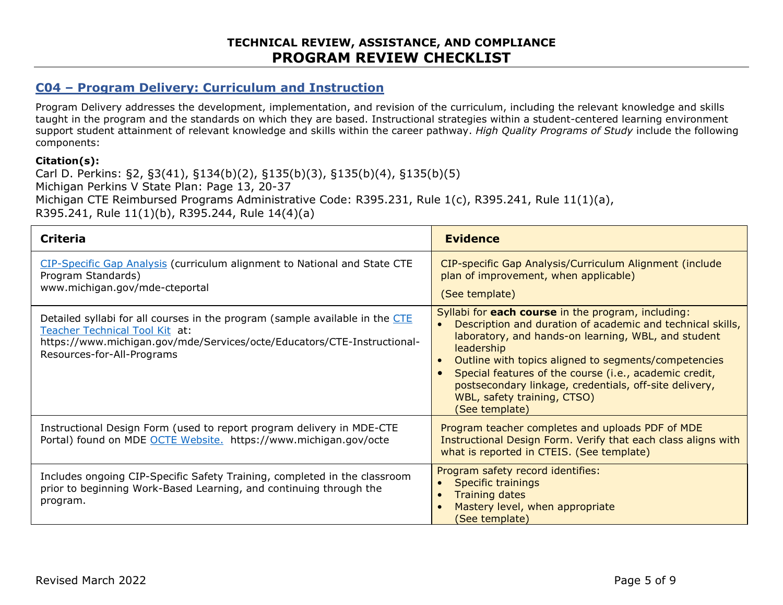### **C04 – Program Delivery: Curriculum and Instruction**

Program Delivery addresses the development, implementation, and revision of the curriculum, including the relevant knowledge and skills taught in the program and the standards on which they are based. Instructional strategies within a student-centered learning environment support student attainment of relevant knowledge and skills within the career pathway. *High Quality Programs of Study* include the following components:

#### **Citation(s):**

Carl D. Perkins: §2, §3(41), §134(b)(2), §135(b)(3), §135(b)(4), §135(b)(5) Michigan Perkins V State Plan: Page 13, 20-37 Michigan CTE Reimbursed Programs Administrative Code: R395.231, Rule 1(c), R395.241, Rule 11(1)(a), R395.241, Rule 11(1)(b), R395.244, Rule 14(4)(a)

| <b>Criteria</b>                                                                                                                                                                                                         | <b>Evidence</b>                                                                                                                                                                                                                                                                                                                                                                                                                                           |
|-------------------------------------------------------------------------------------------------------------------------------------------------------------------------------------------------------------------------|-----------------------------------------------------------------------------------------------------------------------------------------------------------------------------------------------------------------------------------------------------------------------------------------------------------------------------------------------------------------------------------------------------------------------------------------------------------|
| CIP-Specific Gap Analysis (curriculum alignment to National and State CTE<br>Program Standards)<br>www.michigan.gov/mde-cteportal                                                                                       | CIP-specific Gap Analysis/Curriculum Alignment (include<br>plan of improvement, when applicable)<br>(See template)                                                                                                                                                                                                                                                                                                                                        |
| Detailed syllabi for all courses in the program (sample available in the CTE<br>Teacher Technical Tool Kit at:<br>https://www.michigan.gov/mde/Services/octe/Educators/CTE-Instructional-<br>Resources-for-All-Programs | Syllabi for each course in the program, including:<br>Description and duration of academic and technical skills,<br>$\bullet$<br>laboratory, and hands-on learning, WBL, and student<br>leadership<br>Outline with topics aligned to segments/competencies<br>$\bullet$<br>Special features of the course (i.e., academic credit,<br>$\bullet$<br>postsecondary linkage, credentials, off-site delivery,<br>WBL, safety training, CTSO)<br>(See template) |
| Instructional Design Form (used to report program delivery in MDE-CTE<br>Portal) found on MDE OCTE Website. https://www.michigan.gov/octe                                                                               | Program teacher completes and uploads PDF of MDE<br>Instructional Design Form. Verify that each class aligns with<br>what is reported in CTEIS. (See template)                                                                                                                                                                                                                                                                                            |
| Includes ongoing CIP-Specific Safety Training, completed in the classroom<br>prior to beginning Work-Based Learning, and continuing through the<br>program.                                                             | Program safety record identifies:<br><b>Specific trainings</b><br>$\bullet$<br><b>Training dates</b><br>$\bullet$<br>Mastery level, when appropriate<br>$\bullet$<br>(See template)                                                                                                                                                                                                                                                                       |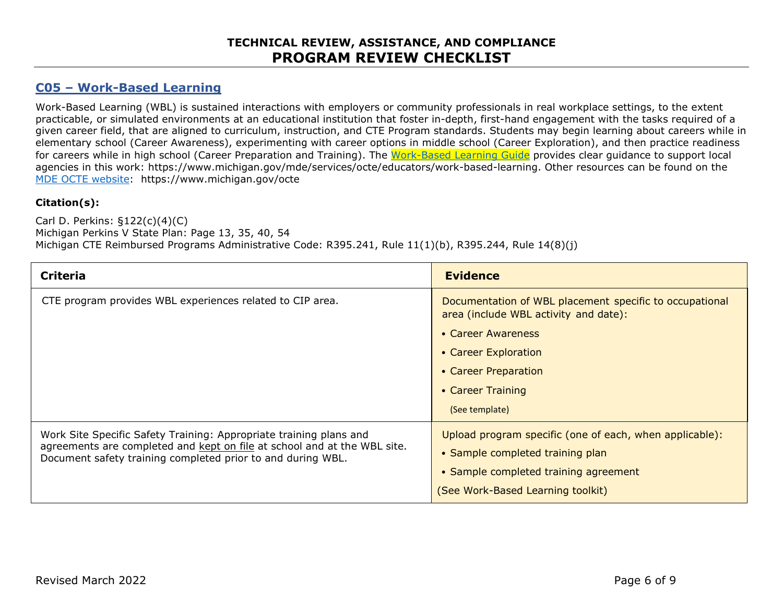### **TECHNICAL REVIEW, ASSISTANCE, AND COMPLIANCE PROGRAM REVIEW CHECKLIST**

### **C05 – Work-Based Learning**

Work-Based Learning (WBL) is sustained interactions with employers or community professionals in real workplace settings, to the extent practicable, or simulated environments at an educational institution that foster in-depth, first-hand engagement with the tasks required of a given career field, that are aligned to curriculum, instruction, and CTE Program standards. Students may begin learning about careers while in elementary school (Career Awareness), experimenting with career options in middle school (Career Exploration), and then practice readiness for careers while in high school (Career Preparation and Training). The [Work-Based Learning Guide](https://www.michigan.gov/mde/services/octe/educators/work-based-learning) provides clear guidance to support local agencies in this work: https://www.michigan.gov/mde/services/octe/educators/work-based-learning. Other resources can be found on the [MDE OCTE website:](https://www.michigan.gov/mde/Services/octe) https://www.michigan.gov/octe

#### **Citation(s):**

Carl D. Perkins: §122(c)(4)(C) Michigan Perkins V State Plan: Page 13, 35, 40, 54 Michigan CTE Reimbursed Programs Administrative Code: R395.241, Rule 11(1)(b), R395.244, Rule 14(8)(j)

| <b>Criteria</b>                                                                                                                         | <b>Evidence</b>                                                                                  |
|-----------------------------------------------------------------------------------------------------------------------------------------|--------------------------------------------------------------------------------------------------|
| CTE program provides WBL experiences related to CIP area.                                                                               | Documentation of WBL placement specific to occupational<br>area (include WBL activity and date): |
|                                                                                                                                         | • Career Awareness                                                                               |
|                                                                                                                                         | • Career Exploration                                                                             |
|                                                                                                                                         | • Career Preparation                                                                             |
|                                                                                                                                         | • Career Training                                                                                |
|                                                                                                                                         | (See template)                                                                                   |
| Work Site Specific Safety Training: Appropriate training plans and                                                                      | Upload program specific (one of each, when applicable):                                          |
| agreements are completed and kept on file at school and at the WBL site.<br>Document safety training completed prior to and during WBL. | • Sample completed training plan                                                                 |
|                                                                                                                                         | • Sample completed training agreement                                                            |
|                                                                                                                                         | (See Work-Based Learning toolkit)                                                                |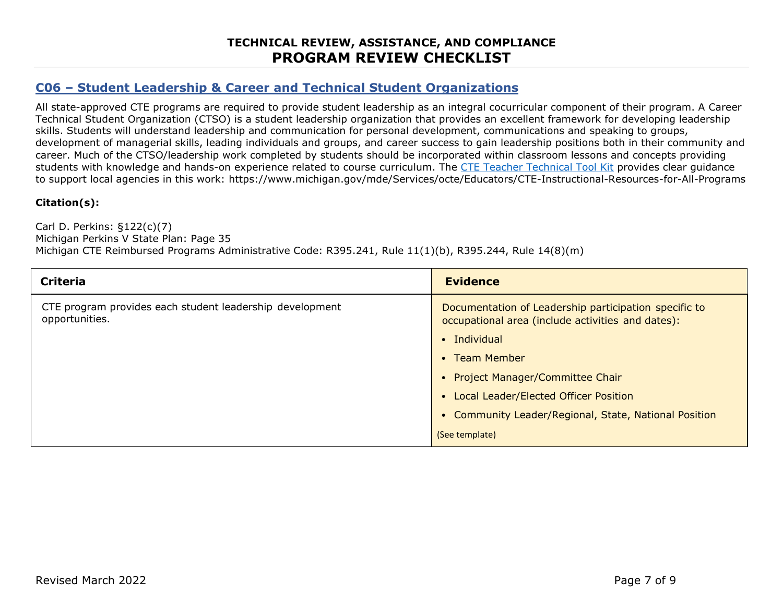### **C06 – Student Leadership & Career and Technical Student Organizations**

All state-approved CTE programs are required to provide student leadership as an integral cocurricular component of their program. A Career Technical Student Organization (CTSO) is a student leadership organization that provides an excellent framework for developing leadership skills. Students will understand leadership and communication for personal development, communications and speaking to groups, development of managerial skills, leading individuals and groups, and career success to gain leadership positions both in their community and career. Much of the CTSO/leadership work completed by students should be incorporated within classroom lessons and concepts providing students with knowledge and hands-on experience related to course curriculum. The [CTE Teacher Technical Tool Kit](https://www.michigan.gov/mde/-/media/Project/Websites/mde/CTE/Tool-kits/CTE_Teacher_Technical_Tool_Kit_698712_7.pdf?rev=b2a7ddb413c541b8b315f44c73bcdc22) provides clear guidance to support local agencies in this work: https://www.michigan.gov/mde/Services/octe/Educators/CTE-Instructional-Resources-for-All-Programs

#### **Citation(s):**

Carl D. Perkins: §122(c)(7) Michigan Perkins V State Plan: Page 35 Michigan CTE Reimbursed Programs Administrative Code: R395.241, Rule 11(1)(b), R395.244, Rule 14(8)(m)

| <b>Criteria</b>                                                            | <b>Evidence</b>                                                                                            |
|----------------------------------------------------------------------------|------------------------------------------------------------------------------------------------------------|
| CTE program provides each student leadership development<br>opportunities. | Documentation of Leadership participation specific to<br>occupational area (include activities and dates): |
|                                                                            | $\bullet$ Individual                                                                                       |
|                                                                            | • Team Member                                                                                              |
|                                                                            | • Project Manager/Committee Chair                                                                          |
|                                                                            | • Local Leader/Elected Officer Position                                                                    |
|                                                                            | • Community Leader/Regional, State, National Position                                                      |
|                                                                            | (See template)                                                                                             |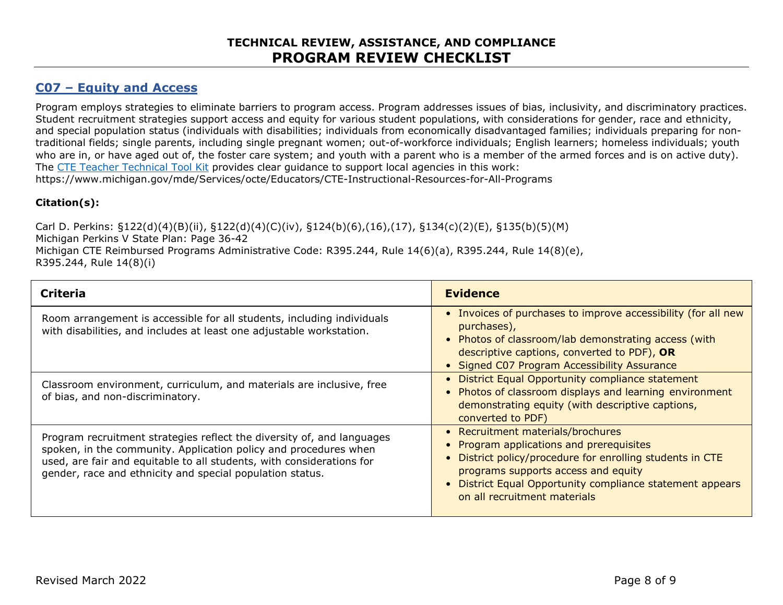### **C07 – Equity and Access**

Program employs strategies to eliminate barriers to program access. Program addresses issues of bias, inclusivity, and discriminatory practices. Student recruitment strategies support access and equity for various student populations, with considerations for gender, race and ethnicity, and special population status (individuals with disabilities; individuals from economically disadvantaged families; individuals preparing for nontraditional fields; single parents, including single pregnant women; out-of-workforce individuals; English learners; homeless individuals; youth who are in, or have aged out of, the foster care system; and youth with a parent who is a member of the armed forces and is on active duty). The [CTE Teacher Technical Tool Kit](https://www.michigan.gov/mde/-/media/Project/Websites/mde/CTE/Tool-kits/CTE_Teacher_Technical_Tool_Kit_698712_7.pdf?rev=b2a7ddb413c541b8b315f44c73bcdc22) provides clear guidance to support local agencies in this work: https://www.michigan.gov/mde/Services/octe/Educators/CTE-Instructional-Resources-for-All-Programs

#### **Citation(s):**

Carl D. Perkins: §122(d)(4)(B)(ii), §122(d)(4)(C)(iv), §124(b)(6),(16),(17), §134(c)(2)(E), §135(b)(5)(M) Michigan Perkins V State Plan: Page 36-42 Michigan CTE Reimbursed Programs Administrative Code: R395.244, Rule 14(6)(a), R395.244, Rule 14(8)(e), R395.244, Rule 14(8)(i)

| <b>Criteria</b>                                                                                                                                                                                                                                                                  | <b>Evidence</b>                                                                                                                                                                                                                                                                |
|----------------------------------------------------------------------------------------------------------------------------------------------------------------------------------------------------------------------------------------------------------------------------------|--------------------------------------------------------------------------------------------------------------------------------------------------------------------------------------------------------------------------------------------------------------------------------|
| Room arrangement is accessible for all students, including individuals<br>with disabilities, and includes at least one adjustable workstation.                                                                                                                                   | • Invoices of purchases to improve accessibility (for all new<br>purchases),<br>• Photos of classroom/lab demonstrating access (with<br>descriptive captions, converted to PDF), OR<br>• Signed C07 Program Accessibility Assurance                                            |
| Classroom environment, curriculum, and materials are inclusive, free<br>of bias, and non-discriminatory.                                                                                                                                                                         | • District Equal Opportunity compliance statement<br>• Photos of classroom displays and learning environment<br>demonstrating equity (with descriptive captions,<br>converted to PDF)                                                                                          |
| Program recruitment strategies reflect the diversity of, and languages<br>spoken, in the community. Application policy and procedures when<br>used, are fair and equitable to all students, with considerations for<br>gender, race and ethnicity and special population status. | • Recruitment materials/brochures<br>• Program applications and prerequisites<br>• District policy/procedure for enrolling students in CTE<br>programs supports access and equity<br>• District Equal Opportunity compliance statement appears<br>on all recruitment materials |